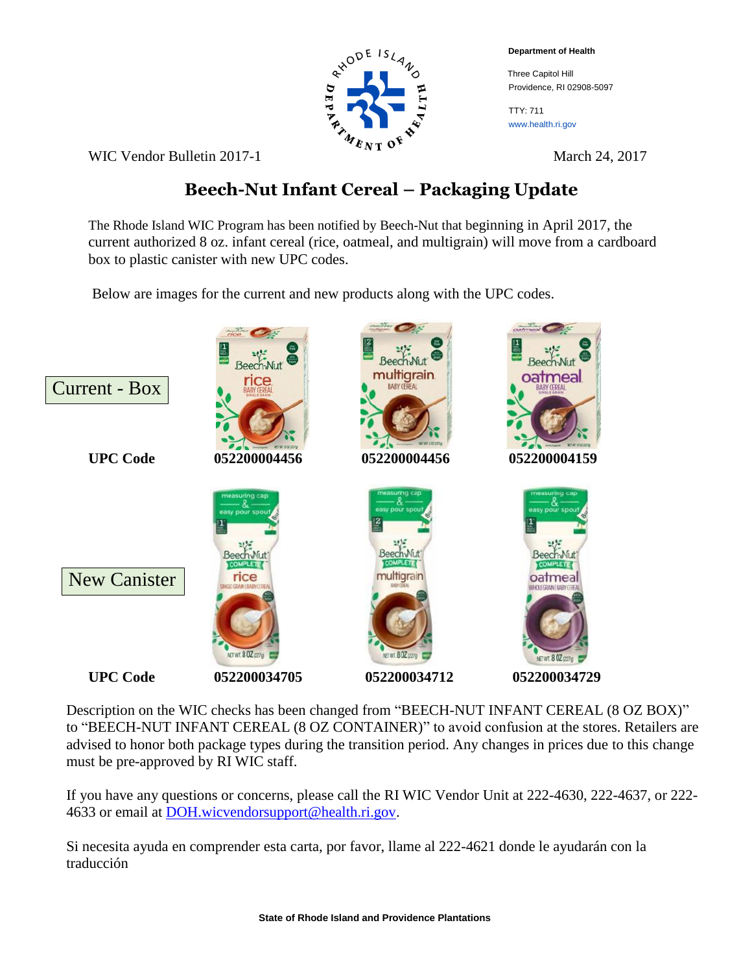**Department of Health**

 Three Capitol Hill Providence, RI 02908-5097

TTY: 711 www.health.ri.gov



WIC Vendor Bulletin 2017-1 March 24, 2017

## **Beech-Nut Infant Cereal – Packaging Update**

The Rhode Island WIC Program has been notified by Beech-Nut that beginning in April 2017, the current authorized 8 oz. infant cereal (rice, oatmeal, and multigrain) will move from a cardboard box to plastic canister with new UPC codes.

Below are images for the current and new products along with the UPC codes.



Description on the WIC checks has been changed from "BEECH-NUT INFANT CEREAL (8 OZ BOX)" to "BEECH-NUT INFANT CEREAL (8 OZ CONTAINER)" to avoid confusion at the stores. Retailers are advised to honor both package types during the transition period. Any changes in prices due to this change must be pre-approved by RI WIC staff.

If you have any questions or concerns, please call the RI WIC Vendor Unit at 222-4630, 222-4637, or 222- 4633 or email at [DOH.wicvendorsupport@health.ri.gov.](mailto:DOH.wicvendorsupport@health.ri.gov)

Si necesita ayuda en comprender esta carta, por favor, llame al 222-4621 donde le ayudarán con la traducción